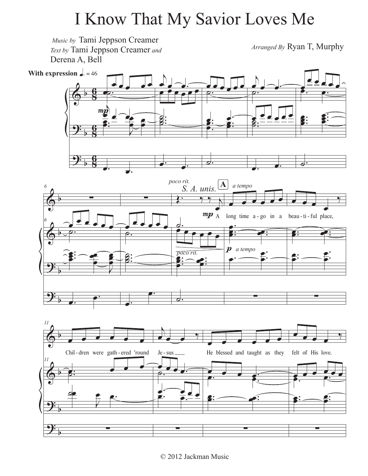## I Know That My Savior Loves Me

 $\bigcirc$ <u>9:</u> <u>9:</u> b b b **8 g 8** <u>գ</u> **8 g** œ <u>e a a c</u> <u>ّ ∶ס</u>  $\mathbf{h}$  $rac{p}{p}$  =  $\frac{1}{p}$  $\frac{1}{2}$ .  $\overline{\mathbf{g}}$   $\overline{\mathbf{g}}$   $\overline{\mathbf{g}}$   $\overline{\mathbf{g}}$ œ œ œ œ  $\overrightarrow{c}$ . **With expression**  $\sqrt{a} = 46$  $\boldsymbol{m}$  $\overline{\mathcal{N}}$ <sup>œ</sup> <sup>œ</sup> œ. <sup>œ</sup> <sup>œ</sup> <sup>œ</sup> <sup>œ</sup> <sup>œ</sup> <sup>œ</sup> ˙. .<br>.<br>.  $\overline{\mathbf{z}}$ :  $\frac{2}{3}$  $\overrightarrow{e}$ . e e e e e e  $\frac{\partial}{\partial \cdot}$  $\frac{1}{2}$ . .<br>.<br>. œ  $\frac{e}{e}$ .  $\frac{e}{e}$ . d.<br><u>F:</u> ě<br>P ˙.  $\overline{\phantom{a}}$ d d — d.<br>⊕ .  $\frac{e}{e} = \frac{e}{e} = \frac{e}{e}$ **.**<br>•<br>•<br>•  $\tilde{\mathbf{z}}$  $\overline{\phantom{a}}$ . œ <u>e e e e e</u>  $\frac{\epsilon}{\epsilon}$ . .<br>.<br>. .<br>.<br>. œ œ  $\frac{2}{\pi}$ . **.** é<br>P œ ˙.  $\bigcirc$  $\bm{\phi}$ <u>.</u> <u>.</u> b b b b *6* ∑ *6* œ <u>e e . . .</u> ˙. . . **.**<br>2: œ  $\frac{e}{2}$ e<br>Enlaced<br>Enlaced œ È<br>E P<br>P  $\overrightarrow{e}$ . ∑ œ e ...  $\frac{\partial}{\partial \cdot}$ . .<br>.<br>. .<br>.<br>. <br>Ø ˙  $\frac{2}{3}$  $\begin{array}{c} \bullet \\ \bullet \\ \bullet \end{array}$ *poco rit.* poco rit.<br><del>●: ●:</del>  $\cdot$   $\cdot$   $\cdot$   $\cdot$   $\cdot$   $\cdot$ œ  $mp A$  long time a-go in a <u>。</u><br>●●●●●● )<br>: <u>:</u> :<br>:<br>: :<br>:  $\ddot{\bullet}$ : œ ˙.  $\overline{e}$ .<br>.<br>. . . œ e<br>B  $\frac{1}{2}$ .  $\frac{1}{2}$  $\overline{\cdot}$ p a tempo <u>e:</u> œ ∑ *a tempo*  $\int_{S}^{rt} A$ . unis.  $\left[ \frac{A}{A} \right]$ œ œ œ œ  $\frac{1}{\sqrt{2}}$ - go in a beau - ti - ful place, <u>.</u> **.**  $\overrightarrow{e}$ .  $\overline{e}$ . . **.**<br>.  $\frac{e}{e}$ . œ œ ∑  $\bm{\overline{\bm{\phi}}}$  $\bm{\phi}$ <u>9:</u> <u>.</u> b b b b *11* œ œ œ œ œ œ Chil-dren were gath-ered 'round Je-*11*  $\epsilon$ .  $\epsilon$   $\epsilon$ ˙. <u>∞</u><br>. œ œ. ∑  $\overline{A}$  $\bullet$   $\bullet$   $\bullet$ Je - sus  $\frac{1}{\rho}$ . œ œ .  $\frac{1}{\frac{1}{\cdot} \cdot \cdot \cdot}$ ∑  $\overline{a}$ He blessed and taught as they <sup>œ</sup> <sup>œ</sup> <sup>œ</sup> œ. œ. œ. .<br>.<br>. <u>e:</u>  $\bullet$  : ∑ <sup>œ</sup> <sup>œ</sup> <sup>œ</sup> <sup>œ</sup>  $\overline{y}$ felt of His love.  $\frac{1}{2}$  $\frac{1}{\sqrt{2}}$ **e:**  $\cdot$  . e: œ ∑ Music by Tami Jeppson Creamer *Text by* Tami Jeppson Creamer *and* Derena A, Bell *Arranged By* Ryan T, Murphy

<sup>© 2012</sup> Jackman Music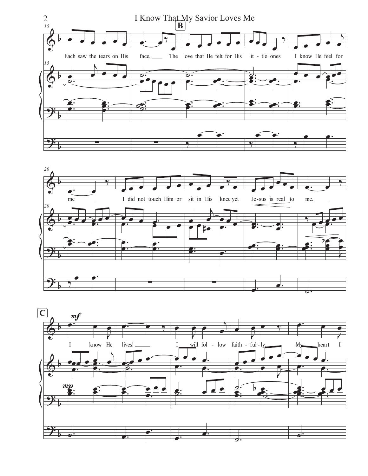



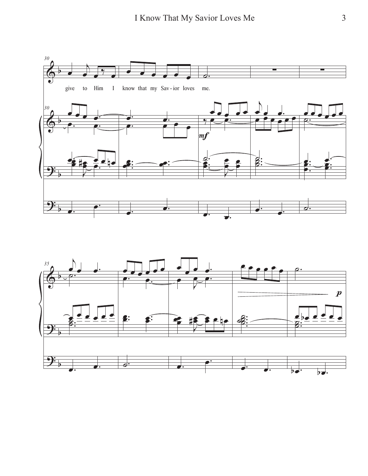

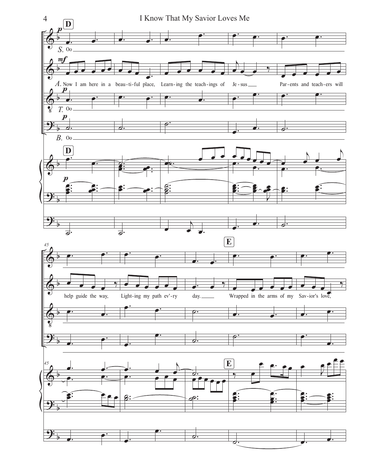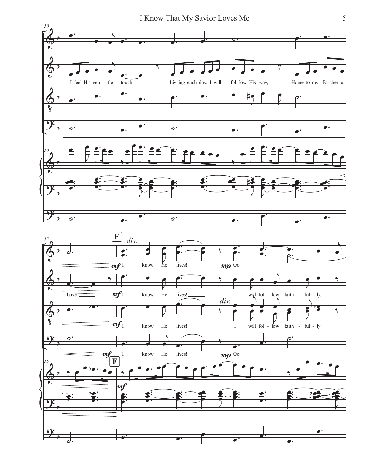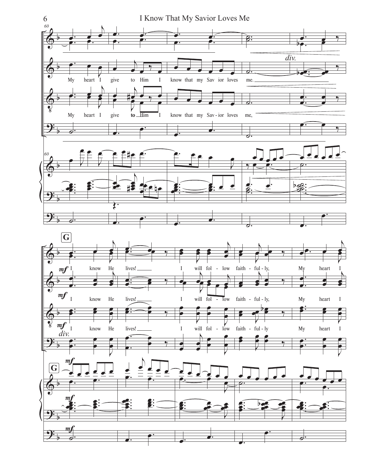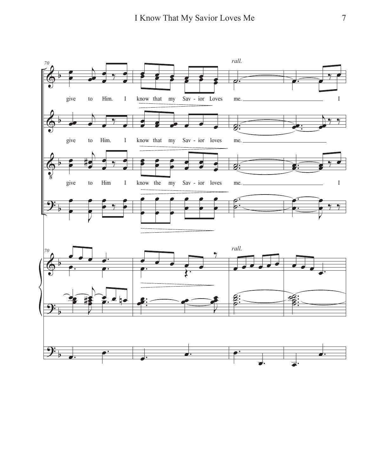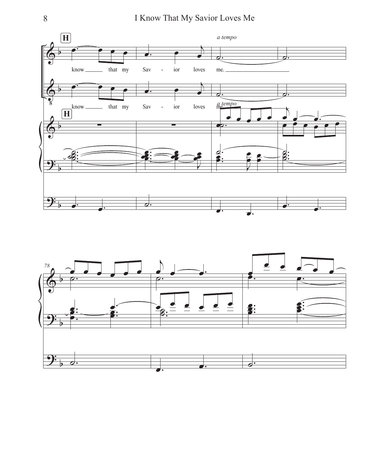